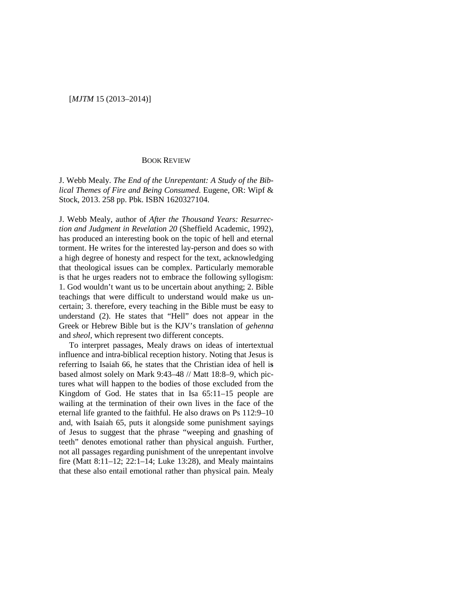## [*MJTM* 15 (2013–2014)]

## BOOK REVIEW

J. Webb Mealy. *The End of the Unrepentant: A Study of the Biblical Themes of Fire and Being Consumed*. Eugene, OR: Wipf & Stock, 2013. 258 pp. Pbk. ISBN 1620327104.

J. Webb Mealy, author of *After the Thousand Years: Resurrection and Judgment in Revelation 20* (Sheffield Academic, 1992), has produced an interesting book on the topic of hell and eternal torment. He writes for the interested lay-person and does so with a high degree of honesty and respect for the text, acknowledging that theological issues can be complex. Particularly memorable is that he urges readers not to embrace the following syllogism: 1. God wouldn't want us to be uncertain about anything; 2. Bible teachings that were difficult to understand would make us uncertain; 3. therefore, every teaching in the Bible must be easy to understand (2). He states that "Hell" does not appear in the Greek or Hebrew Bible but is the KJV's translation of *gehenna* and *sheol*, which represent two different concepts.

To interpret passages, Mealy draws on ideas of intertextual influence and intra-biblical reception history. Noting that Jesus is referring to Isaiah 66, he states that the Christian idea of hell i**s** based almost solely on Mark 9:43–48 // Matt 18:8–9, which pictures what will happen to the bodies of those excluded from the Kingdom of God. He states that in Isa 65:11–15 people are wailing at the termination of their own lives in the face of the eternal life granted to the faithful. He also draws on Ps 112:9–10 and, with Isaiah 65, puts it alongside some punishment sayings of Jesus to suggest that the phrase "weeping and gnashing of teeth" denotes emotional rather than physical anguish. Further, not all passages regarding punishment of the unrepentant involve fire (Matt 8:11–12; 22:1–14; Luke 13:28), and Mealy maintains that these also entail emotional rather than physical pain. Mealy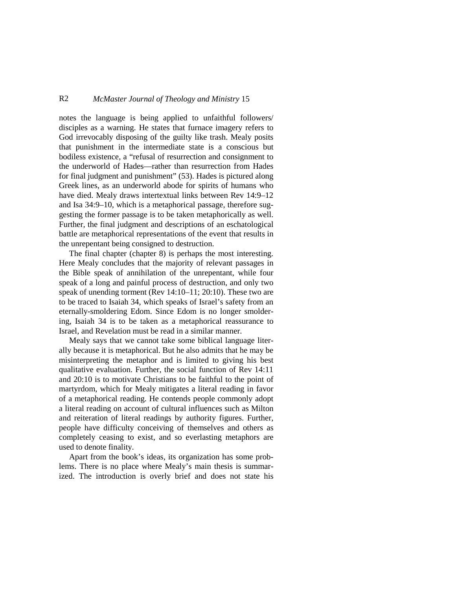## R2 *McMaster Journal of Theology and Ministry* 15

notes the language is being applied to unfaithful followers/ disciples as a warning. He states that furnace imagery refers to God irrevocably disposing of the guilty like trash. Mealy posits that punishment in the intermediate state is a conscious but bodiless existence, a "refusal of resurrection and consignment to the underworld of Hades—rather than resurrection from Hades for final judgment and punishment" (53). Hades is pictured along Greek lines, as an underworld abode for spirits of humans who have died. Mealy draws intertextual links between Rev 14:9–12 and Isa 34:9–10, which is a metaphorical passage, therefore suggesting the former passage is to be taken metaphorically as well. Further, the final judgment and descriptions of an eschatological battle are metaphorical representations of the event that results in the unrepentant being consigned to destruction.

The final chapter (chapter 8) is perhaps the most interesting. Here Mealy concludes that the majority of relevant passages in the Bible speak of annihilation of the unrepentant, while four speak of a long and painful process of destruction, and only two speak of unending torment (Rev 14:10–11; 20:10). These two are to be traced to Isaiah 34, which speaks of Israel's safety from an eternally-smoldering Edom. Since Edom is no longer smoldering, Isaiah 34 is to be taken as a metaphorical reassurance to Israel, and Revelation must be read in a similar manner.

Mealy says that we cannot take some biblical language literally because it is metaphorical. But he also admits that he may be misinterpreting the metaphor and is limited to giving his best qualitative evaluation. Further, the social function of Rev 14:11 and 20:10 is to motivate Christians to be faithful to the point of martyrdom, which for Mealy mitigates a literal reading in favor of a metaphorical reading. He contends people commonly adopt a literal reading on account of cultural influences such as Milton and reiteration of literal readings by authority figures. Further, people have difficulty conceiving of themselves and others as completely ceasing to exist, and so everlasting metaphors are used to denote finality.

Apart from the book's ideas, its organization has some problems. There is no place where Mealy's main thesis is summarized. The introduction is overly brief and does not state his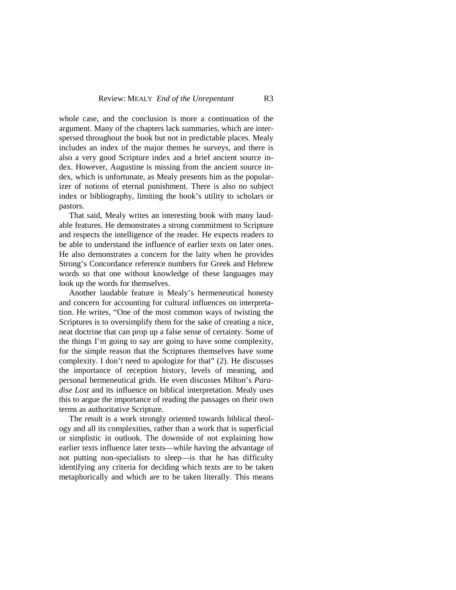whole case, and the conclusion is more a continuation of the argument. Many of the chapters lack summaries, which are interspersed throughout the book but not in predictable places. Mealy includes an index of the major themes he surveys, and there is also a very good Scripture index and a brief ancient source index. However, Augustine is missing from the ancient source index, which is unfortunate, as Mealy presents him as the popularizer of notions of eternal punishment. There is also no subject index or bibliography, limiting the book's utility to scholars or pastors.

That said, Mealy writes an interesting book with many laudable features. He demonstrates a strong commitment to Scripture and respects the intelligence of the reader. He expects readers to be able to understand the influence of earlier texts on later ones. He also demonstrates a concern for the laity when he provides Strong's Concordance reference numbers for Greek and Hebrew words so that one without knowledge of these languages may look up the words for themselves.

Another laudable feature is Mealy's hermeneutical honesty and concern for accounting for cultural influences on interpretation. He writes, "One of the most common ways of twisting the Scriptures is to oversimplify them for the sake of creating a nice, neat doctrine that can prop up a false sense of certainty. Some of the things I'm going to say are going to have some complexity, for the simple reason that the Scriptures themselves have some complexity. I don't need to apologize for that" (2). He discusses the importance of reception history, levels of meaning, and personal hermeneutical grids. He even discusses Milton's *Paradise Lost* and its influence on biblical interpretation. Mealy uses this to argue the importance of reading the passages on their own terms as authoritative Scripture.

The result is a work strongly oriented towards biblical theology and all its complexities, rather than a work that is superficial or simplistic in outlook. The downside of not explaining how earlier texts influence later texts––while having the advantage of not putting non-specialists to sleep––is that he has difficulty identifying any criteria for deciding which texts are to be taken metaphorically and which are to be taken literally. This means